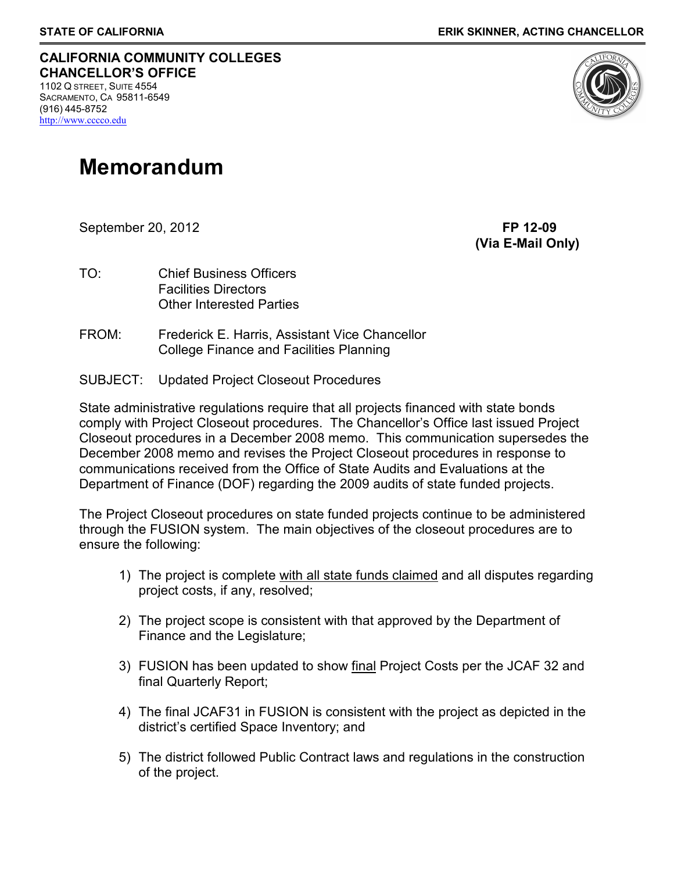#### **CALIFORNIA COMMUNITY COLLEGES CHANCELLOR'S OFFICE** 1102 Q STREET, SUITE 4554

SACRAMENTO, CA 95811-6549 (916) 445-8752 [http://www.cccco.edu](http://www.cccco.edu/)

# **Memorandum**

September 20, 2012 **FP 12-09**

**(Via E-Mail Only)**

- TO: Chief Business Officers Facilities Directors Other Interested Parties
- FROM: Frederick E. Harris, Assistant Vice Chancellor College Finance and Facilities Planning
- SUBJECT: Updated Project Closeout Procedures

State administrative regulations require that all projects financed with state bonds comply with Project Closeout procedures. The Chancellor's Office last issued Project Closeout procedures in a December 2008 memo. This communication supersedes the December 2008 memo and revises the Project Closeout procedures in response to communications received from the Office of State Audits and Evaluations at the Department of Finance (DOF) regarding the 2009 audits of state funded projects.

The Project Closeout procedures on state funded projects continue to be administered through the FUSION system. The main objectives of the closeout procedures are to ensure the following:

- 1) The project is complete with all state funds claimed and all disputes regarding project costs, if any, resolved;
- 2) The project scope is consistent with that approved by the Department of Finance and the Legislature;
- 3) FUSION has been updated to show final Project Costs per the JCAF 32 and final Quarterly Report;
- 4) The final JCAF31 in FUSION is consistent with the project as depicted in the district's certified Space Inventory; and
- 5) The district followed Public Contract laws and regulations in the construction of the project.

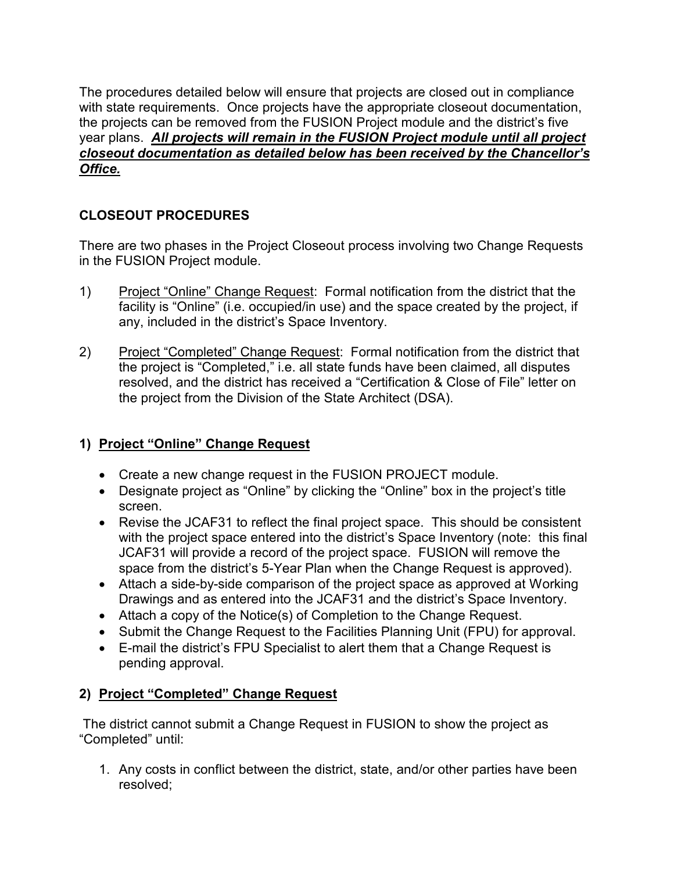The procedures detailed below will ensure that projects are closed out in compliance with state requirements. Once projects have the appropriate closeout documentation, the projects can be removed from the FUSION Project module and the district's five year plans. *All projects will remain in the FUSION Project module until all project closeout documentation as detailed below has been received by the Chancellor's Office.* 

## **CLOSEOUT PROCEDURES**

There are two phases in the Project Closeout process involving two Change Requests in the FUSION Project module.

- 1) Project "Online" Change Request: Formal notification from the district that the facility is "Online" (i.e. occupied/in use) and the space created by the project, if any, included in the district's Space Inventory.
- 2) Project "Completed" Change Request: Formal notification from the district that the project is "Completed," i.e. all state funds have been claimed, all disputes resolved, and the district has received a "Certification & Close of File" letter on the project from the Division of the State Architect (DSA).

### **1) Project "Online" Change Request**

- Create a new change request in the FUSION PROJECT module.
- Designate project as "Online" by clicking the "Online" box in the project's title screen.
- Revise the JCAF31 to reflect the final project space. This should be consistent with the project space entered into the district's Space Inventory (note: this final JCAF31 will provide a record of the project space. FUSION will remove the space from the district's 5-Year Plan when the Change Request is approved).
- Attach a side-by-side comparison of the project space as approved at Working Drawings and as entered into the JCAF31 and the district's Space Inventory.
- Attach a copy of the Notice(s) of Completion to the Change Request.
- Submit the Change Request to the Facilities Planning Unit (FPU) for approval.
- E-mail the district's FPU Specialist to alert them that a Change Request is pending approval.

#### **2) Project "Completed" Change Request**

The district cannot submit a Change Request in FUSION to show the project as "Completed" until:

1. Any costs in conflict between the district, state, and/or other parties have been resolved;